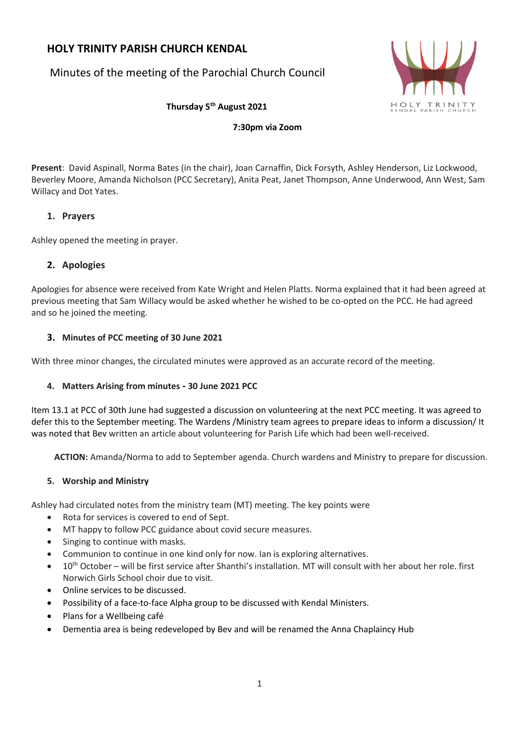# **HOLY TRINITY PARISH CHURCH KENDAL**

Minutes of the meeting of the Parochial Church Council



**Thursday 5 th August 2021**

**7:30pm via Zoom**

**Present**: David Aspinall, Norma Bates (in the chair), Joan Carnaffin, Dick Forsyth, Ashley Henderson, Liz Lockwood, Beverley Moore, Amanda Nicholson (PCC Secretary), Anita Peat, Janet Thompson, Anne Underwood, Ann West, Sam Willacy and Dot Yates.

# **1. Prayers**

Ashley opened the meeting in prayer.

# **2. Apologies**

Apologies for absence were received from Kate Wright and Helen Platts. Norma explained that it had been agreed at previous meeting that Sam Willacy would be asked whether he wished to be co-opted on the PCC. He had agreed and so he joined the meeting.

# **3. Minutes of PCC meeting of 30 June 2021**

With three minor changes, the circulated minutes were approved as an accurate record of the meeting.

# **4. Matters Arising from minutes - 30 June 2021 PCC**

Item 13.1 at PCC of 30th June had suggested a discussion on volunteering at the next PCC meeting. It was agreed to defer this to the September meeting. The Wardens /Ministry team agrees to prepare ideas to inform a discussion/ It was noted that Bev written an article about volunteering for Parish Life which had been well-received.

**ACTION:** Amanda/Norma to add to September agenda. Church wardens and Ministry to prepare for discussion.

# **5. Worship and Ministry**

Ashley had circulated notes from the ministry team (MT) meeting. The key points were

- Rota for services is covered to end of Sept.
- MT happy to follow PCC guidance about covid secure measures.
- Singing to continue with masks.
- Communion to continue in one kind only for now. Ian is exploring alternatives.
- $10^{th}$  October will be first service after Shanthi's installation. MT will consult with her about her role, first Norwich Girls School choir due to visit.
- Online services to be discussed.
- Possibility of a face-to-face Alpha group to be discussed with Kendal Ministers.
- Plans for a Wellbeing café
- Dementia area is being redeveloped by Bev and will be renamed the Anna Chaplaincy Hub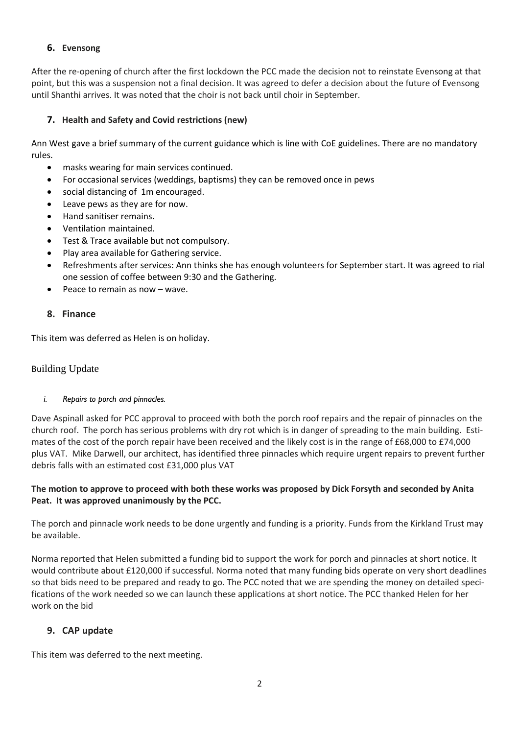# **6. Evensong**

After the re-opening of church after the first lockdown the PCC made the decision not to reinstate Evensong at that point, but this was a suspension not a final decision. It was agreed to defer a decision about the future of Evensong until Shanthi arrives. It was noted that the choir is not back until choir in September.

# **7. Health and Safety and Covid restrictions (new)**

Ann West gave a brief summary of the current guidance which is line with CoE guidelines. There are no mandatory rules.

- masks wearing for main services continued.
- For occasional services (weddings, baptisms) they can be removed once in pews
- social distancing of 1m encouraged.
- Leave pews as they are for now.
- Hand sanitiser remains.
- Ventilation maintained.
- Test & Trace available but not compulsory.
- Play area available for Gathering service.
- Refreshments after services: Ann thinks she has enough volunteers for September start. It was agreed to rial one session of coffee between 9:30 and the Gathering.
- Peace to remain as now wave.

# **8. Finance**

This item was deferred as Helen is on holiday.

# Building Update

*i. Repairs to porch and pinnacles.* 

Dave Aspinall asked for PCC approval to proceed with both the porch roof repairs and the repair of pinnacles on the church roof. The porch has serious problems with dry rot which is in danger of spreading to the main building. Estimates of the cost of the porch repair have been received and the likely cost is in the range of £68,000 to £74,000 plus VAT. Mike Darwell, our architect, has identified three pinnacles which require urgent repairs to prevent further debris falls with an estimated cost £31,000 plus VAT

# The motion to approve to proceed with both these works was proposed by Dick Forsyth and seconded by Anita **Peat. It was approved unanimously by the PCC.**

The porch and pinnacle work needs to be done urgently and funding is a priority. Funds from the Kirkland Trust may be available.

Norma reported that Helen submitted a funding bid to support the work for porch and pinnacles at short notice. It would contribute about £120,000 if successful. Norma noted that many funding bids operate on very short deadlines so that bids need to be prepared and ready to go. The PCC noted that we are spending the money on detailed specifications of the work needed so we can launch these applications at short notice. The PCC thanked Helen for her work on the bid

# **9. CAP update**

This item was deferred to the next meeting.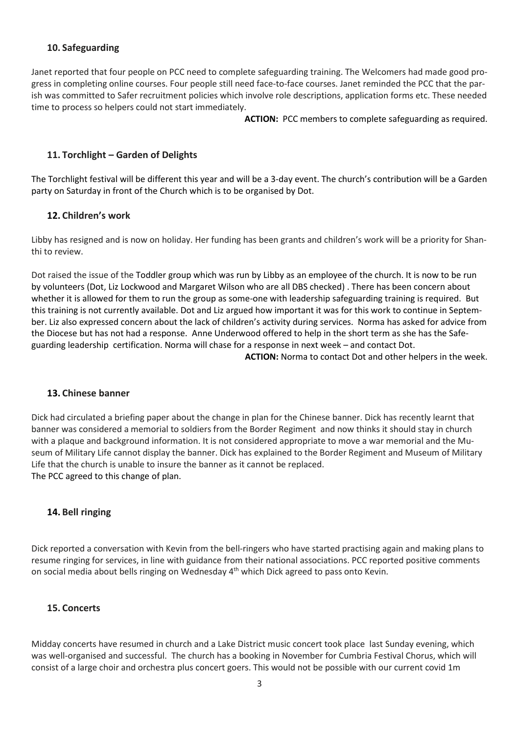# **10. Safeguarding**

Janet reported that four people on PCC need to complete safeguarding training. The Welcomers had made good progress in completing online courses. Four people still need face-to-face courses. Janet reminded the PCC that the parish was committed to Safer recruitment policies which involve role descriptions, application forms etc. These needed time to process so helpers could not start immediately.

**ACTION:** PCC members to complete safeguarding as required.

# **11. Torchlight – Garden of Delights**

The Torchlight festival will be different this year and will be a 3-day event. The church's contribution will be a Garden party on Saturday in front of the Church which is to be organised by Dot.

# **12. Children's work**

Libby has resigned and is now on holiday. Her funding has been grants and children's work will be a priority for Shanthi to review.

Dot raised the issue of the Toddler group which was run by Libby as an employee of the church. It is now to be run by volunteers (Dot, Liz Lockwood and Margaret Wilson who are all DBS checked) . There has been concern about whether it is allowed for them to run the group as some-one with leadership safeguarding training is required. But this training is not currently available. Dot and Liz argued how important it was for this work to continue in September. Liz also expressed concern about the lack of children's activity during services. Norma has asked for advice from the Diocese but has not had a response. Anne Underwood offered to help in the short term as she has the Safeguarding leadership certification. Norma will chase for a response in next week – and contact Dot.

**ACTION:** Norma to contact Dot and other helpers in the week.

#### **13. Chinese banner**

Dick had circulated a briefing paper about the change in plan for the Chinese banner. Dick has recently learnt that banner was considered a memorial to soldiers from the Border Regiment and now thinks it should stay in church with a plaque and background information. It is not considered appropriate to move a war memorial and the Museum of Military Life cannot display the banner. Dick has explained to the Border Regiment and Museum of Military Life that the church is unable to insure the banner as it cannot be replaced. The PCC agreed to this change of plan.

# **14. Bell ringing**

Dick reported a conversation with Kevin from the bell-ringers who have started practising again and making plans to resume ringing for services, in line with guidance from their national associations. PCC reported positive comments on social media about bells ringing on Wednesday 4<sup>th</sup> which Dick agreed to pass onto Kevin.

#### **15. Concerts**

Midday concerts have resumed in church and a Lake District music concert took place last Sunday evening, which was well-organised and successful. The church has a booking in November for Cumbria Festival Chorus, which will consist of a large choir and orchestra plus concert goers. This would not be possible with our current covid 1m